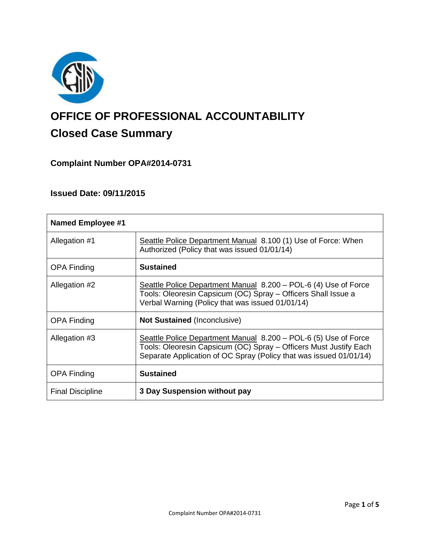

# **OFFICE OF PROFESSIONAL ACCOUNTABILITY Closed Case Summary**

# **Complaint Number OPA#2014-0731**

# **Issued Date: 09/11/2015**

| <b>Named Employee #1</b> |                                                                                                                                                                                                            |
|--------------------------|------------------------------------------------------------------------------------------------------------------------------------------------------------------------------------------------------------|
| Allegation #1            | Seattle Police Department Manual 8.100 (1) Use of Force: When<br>Authorized (Policy that was issued 01/01/14)                                                                                              |
| <b>OPA Finding</b>       | <b>Sustained</b>                                                                                                                                                                                           |
| Allegation #2            | Seattle Police Department Manual 8.200 – POL-6 (4) Use of Force<br>Tools: Oleoresin Capsicum (OC) Spray - Officers Shall Issue a<br>Verbal Warning (Policy that was issued 01/01/14)                       |
| <b>OPA Finding</b>       | <b>Not Sustained (Inconclusive)</b>                                                                                                                                                                        |
| Allegation #3            | Seattle Police Department Manual 8.200 – POL-6 (5) Use of Force<br>Tools: Oleoresin Capsicum (OC) Spray - Officers Must Justify Each<br>Separate Application of OC Spray (Policy that was issued 01/01/14) |
| <b>OPA Finding</b>       | <b>Sustained</b>                                                                                                                                                                                           |
| <b>Final Discipline</b>  | 3 Day Suspension without pay                                                                                                                                                                               |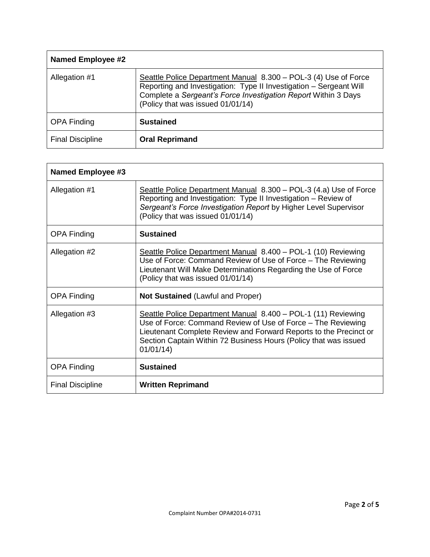| <b>Named Employee #2</b> |                                                                                                                                                                                                                                              |
|--------------------------|----------------------------------------------------------------------------------------------------------------------------------------------------------------------------------------------------------------------------------------------|
| Allegation #1            | Seattle Police Department Manual 8.300 - POL-3 (4) Use of Force<br>Reporting and Investigation: Type II Investigation - Sergeant Will<br>Complete a Sergeant's Force Investigation Report Within 3 Days<br>(Policy that was issued 01/01/14) |
| <b>OPA Finding</b>       | <b>Sustained</b>                                                                                                                                                                                                                             |
| <b>Final Discipline</b>  | <b>Oral Reprimand</b>                                                                                                                                                                                                                        |

| Named Employee #3       |                                                                                                                                                                                                                                                                                     |
|-------------------------|-------------------------------------------------------------------------------------------------------------------------------------------------------------------------------------------------------------------------------------------------------------------------------------|
| Allegation #1           | Seattle Police Department Manual 8.300 - POL-3 (4.a) Use of Force<br>Reporting and Investigation: Type II Investigation - Review of<br>Sergeant's Force Investigation Report by Higher Level Supervisor<br>(Policy that was issued 01/01/14)                                        |
| <b>OPA Finding</b>      | <b>Sustained</b>                                                                                                                                                                                                                                                                    |
| Allegation #2           | Seattle Police Department Manual 8.400 - POL-1 (10) Reviewing<br>Use of Force: Command Review of Use of Force – The Reviewing<br>Lieutenant Will Make Determinations Regarding the Use of Force<br>(Policy that was issued 01/01/14)                                                |
| <b>OPA Finding</b>      | <b>Not Sustained (Lawful and Proper)</b>                                                                                                                                                                                                                                            |
| Allegation #3           | Seattle Police Department Manual 8.400 - POL-1 (11) Reviewing<br>Use of Force: Command Review of Use of Force – The Reviewing<br>Lieutenant Complete Review and Forward Reports to the Precinct or<br>Section Captain Within 72 Business Hours (Policy that was issued<br>01/01/14) |
| <b>OPA Finding</b>      | <b>Sustained</b>                                                                                                                                                                                                                                                                    |
| <b>Final Discipline</b> | <b>Written Reprimand</b>                                                                                                                                                                                                                                                            |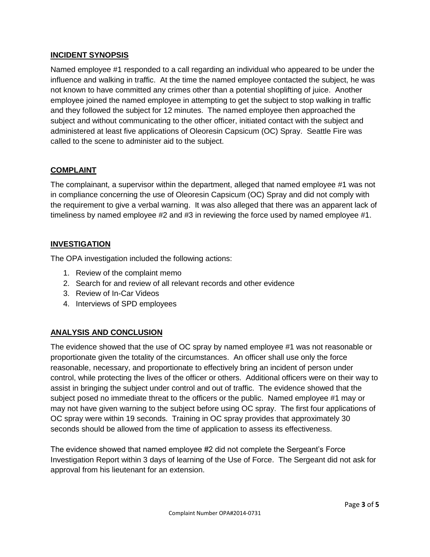# **INCIDENT SYNOPSIS**

Named employee #1 responded to a call regarding an individual who appeared to be under the influence and walking in traffic. At the time the named employee contacted the subject, he was not known to have committed any crimes other than a potential shoplifting of juice. Another employee joined the named employee in attempting to get the subject to stop walking in traffic and they followed the subject for 12 minutes. The named employee then approached the subject and without communicating to the other officer, initiated contact with the subject and administered at least five applications of Oleoresin Capsicum (OC) Spray. Seattle Fire was called to the scene to administer aid to the subject.

## **COMPLAINT**

The complainant, a supervisor within the department, alleged that named employee #1 was not in compliance concerning the use of Oleoresin Capsicum (OC) Spray and did not comply with the requirement to give a verbal warning. It was also alleged that there was an apparent lack of timeliness by named employee #2 and #3 in reviewing the force used by named employee #1.

#### **INVESTIGATION**

The OPA investigation included the following actions:

- 1. Review of the complaint memo
- 2. Search for and review of all relevant records and other evidence
- 3. Review of In-Car Videos
- 4. Interviews of SPD employees

# **ANALYSIS AND CONCLUSION**

The evidence showed that the use of OC spray by named employee #1 was not reasonable or proportionate given the totality of the circumstances. An officer shall use only the force reasonable, necessary, and proportionate to effectively bring an incident of person under control, while protecting the lives of the officer or others. Additional officers were on their way to assist in bringing the subject under control and out of traffic. The evidence showed that the subject posed no immediate threat to the officers or the public. Named employee #1 may or may not have given warning to the subject before using OC spray. The first four applications of OC spray were within 19 seconds. Training in OC spray provides that approximately 30 seconds should be allowed from the time of application to assess its effectiveness.

The evidence showed that named employee #2 did not complete the Sergeant's Force Investigation Report within 3 days of learning of the Use of Force. The Sergeant did not ask for approval from his lieutenant for an extension.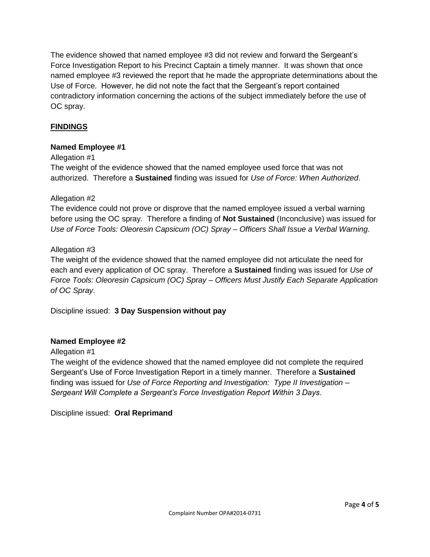The evidence showed that named employee #3 did not review and forward the Sergeant's Force Investigation Report to his Precinct Captain a timely manner. It was shown that once named employee #3 reviewed the report that he made the appropriate determinations about the Use of Force. However, he did not note the fact that the Sergeant's report contained contradictory information concerning the actions of the subject immediately before the use of OC spray.

# **FINDINGS**

## **Named Employee #1**

## Allegation #1

The weight of the evidence showed that the named employee used force that was not authorized. Therefore a **Sustained** finding was issued for *Use of Force: When Authorized*.

## Allegation #2

The evidence could not prove or disprove that the named employee issued a verbal warning before using the OC spray. Therefore a finding of **Not Sustained** (Inconclusive) was issued for *Use of Force Tools: Oleoresin Capsicum (OC) Spray – Officers Shall Issue a Verbal Warning*.

## Allegation #3

The weight of the evidence showed that the named employee did not articulate the need for each and every application of OC spray. Therefore a **Sustained** finding was issued for *Use of Force Tools: Oleoresin Capsicum (OC) Spray – Officers Must Justify Each Separate Application of OC Spray*.

Discipline issued: **3 Day Suspension without pay**

#### **Named Employee #2**

## Allegation #1

The weight of the evidence showed that the named employee did not complete the required Sergeant's Use of Force Investigation Report in a timely manner. Therefore a **Sustained** finding was issued for *Use of Force Reporting and Investigation: Type II Investigation – Sergeant Will Complete a Sergeant's Force Investigation Report Within 3 Days*.

Discipline issued: **Oral Reprimand**